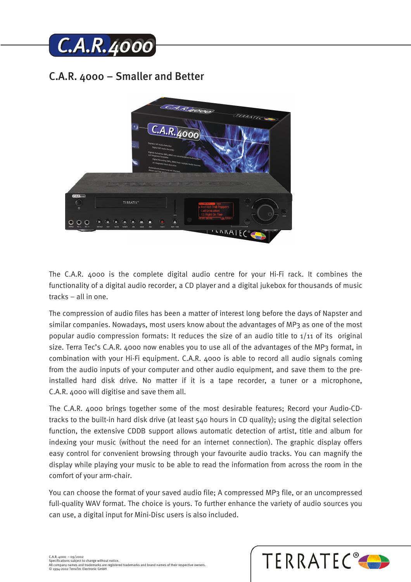

## C.A.R. 4000 – Smaller and Better



The C.A.R. 4000 is the complete digital audio centre for your Hi-Fi rack. It combines the functionality of a digital audio recorder, a CD player and a digital jukebox for thousands of music tracks – all in one.

The compression of audio files has been a matter of interest long before the days of Napster and similar companies. Nowadays, most users know about the advantages of MP3 as one of the most popular audio compression formats: It reduces the size of an audio title to 1/11 of its original size. Terra Tec's C.A.R. 4000 now enables you to use all of the advantages of the MP3 format, in combination with your Hi-Fi equipment. C.A.R. 4000 is able to record all audio signals coming from the audio inputs of your computer and other audio equipment, and save them to the preinstalled hard disk drive. No matter if it is a tape recorder, a tuner or a microphone, C.A.R. 4000 will digitise and save them all.

The C.A.R. 4000 brings together some of the most desirable features; Record your Audio-CDtracks to the built-in hard disk drive (at least 540 hours in CD quality); using the digital selection function, the extensive CDDB support allows automatic detection of artist, title and album for indexing your music (without the need for an internet connection). The graphic display offers easy control for convenient browsing through your favourite audio tracks. You can magnify the display while playing your music to be able to read the information from across the room in the comfort of your arm-chair.

You can choose the format of your saved audio file; A compressed MP3 file, or an uncompressed full-quality WAV format. The choice is yours. To further enhance the variety of audio sources you can use, a digital input for Mini-Disc users is also included.

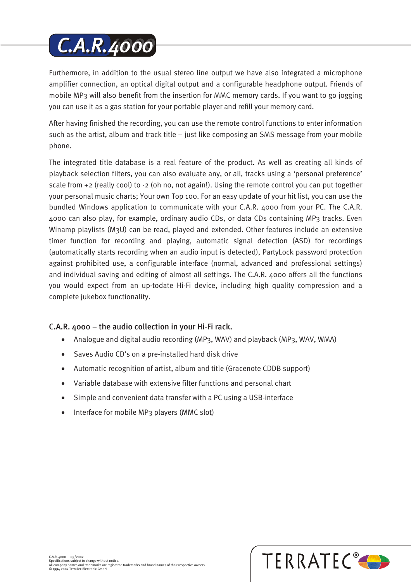# **C.A.R.4000**

Furthermore, in addition to the usual stereo line output we have also integrated a microphone amplifier connection, an optical digital output and a configurable headphone output. Friends of mobile MP3 will also benefit from the insertion for MMC memory cards. If you want to go jogging you can use it as a gas station for your portable player and refill your memory card.

After having finished the recording, you can use the remote control functions to enter information such as the artist, album and track title – just like composing an SMS message from your mobile phone.

The integrated title database is a real feature of the product. As well as creating all kinds of playback selection filters, you can also evaluate any, or all, tracks using a 'personal preference' scale from +2 (really cool) to -2 (oh no, not again!). Using the remote control you can put together your personal music charts; Your own Top 100. For an easy update of your hit list, you can use the bundled Windows application to communicate with your C.A.R. 4000 from your PC. The C.A.R. 4000 can also play, for example, ordinary audio CDs, or data CDs containing MP3 tracks. Even Winamp playlists (M3U) can be read, played and extended. Other features include an extensive timer function for recording and playing, automatic signal detection (ASD) for recordings (automatically starts recording when an audio input is detected), PartyLock password protection against prohibited use, a configurable interface (normal, advanced and professional settings) and individual saving and editing of almost all settings. The C.A.R. 4000 offers all the functions you would expect from an up-todate Hi-Fi device, including high quality compression and a complete jukebox functionality.

### C.A.R. 4000 – the audio collection in your Hi-Fi rack.

- Analogue and digital audio recording (MP3, WAV) and playback (MP3, WAV, WMA)
- Saves Audio CD's on a pre-installed hard disk drive
- Automatic recognition of artist, album and title (Gracenote CDDB support)
- Variable database with extensive filter functions and personal chart
- Simple and convenient data transfer with a PC using a USB-interface
- Interface for mobile MP3 players (MMC slot)